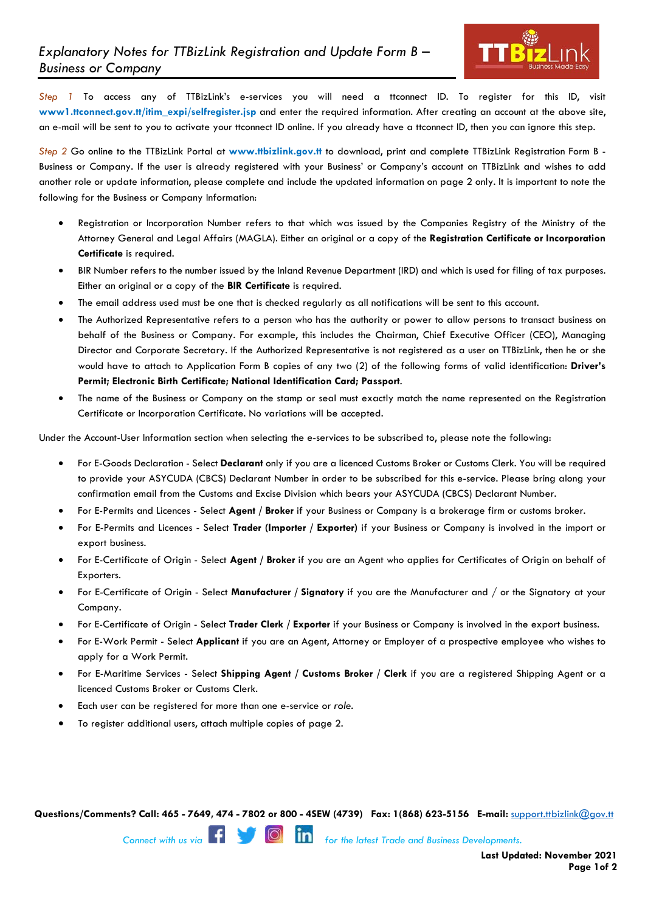

*Step 1* To access any of TTBizLink's e-services you will need a ttconnect ID. To register for this ID, visit **www1.ttconnect.gov.tt/itim\_expi/selfregister.jsp** and enter the required information. After creating an account at the above site, an e-mail will be sent to you to activate your ttconnect ID online. If you already have a ttconnect ID, then you can ignore this step.

*Step 2* Go online to the TTBizLink Portal at **www.ttbizlink.gov.tt** to download, print and complete TTBizLink Registration Form B - Business or Company. If the user is already registered with your Business' or Company's account on TTBizLink and wishes to add another role or update information, please complete and include the updated information on page 2 only. It is important to note the following for the Business or Company Information:

- Registration or Incorporation Number refers to that which was issued by the Companies Registry of the Ministry of the Attorney General and Legal Affairs (MAGLA). Either an original or a copy of the **Registration Certificate or Incorporation Certificate** is required.
- BIR Number refers to the number issued by the Inland Revenue Department (IRD) and which is used for filing of tax purposes. Either an original or a copy of the **BIR Certificate** is required.
- The email address used must be one that is checked regularly as all notifications will be sent to this account.
- The Authorized Representative refers to a person who has the authority or power to allow persons to transact business on behalf of the Business or Company. For example, this includes the Chairman, Chief Executive Officer (CEO), Managing Director and Corporate Secretary. If the Authorized Representative is not registered as a user on TTBizLink, then he or she would have to attach to Application Form B copies of any two (2) of the following forms of valid identification: **Driver's Permit; Electronic Birth Certificate; National Identification Card; Passport**.
- The name of the Business or Company on the stamp or seal must exactly match the name represented on the Registration Certificate or Incorporation Certificate. No variations will be accepted.

Under the Account-User Information section when selecting the e-services to be subscribed to, please note the following:

- For E-Goods Declaration Select **Declarant** only if you are a licenced Customs Broker or Customs Clerk. You will be required to provide your ASYCUDA (CBCS) Declarant Number in order to be subscribed for this e-service. Please bring along your confirmation email from the Customs and Excise Division which bears your ASYCUDA (CBCS) Declarant Number.
- For E-Permits and Licences Select **Agent / Broker** if your Business or Company is a brokerage firm or customs broker.
- For E-Permits and Licences Select **Trader (Importer / Exporter)** if your Business or Company is involved in the import or export business.
- For E-Certificate of Origin Select **Agent / Broker** if you are an Agent who applies for Certificates of Origin on behalf of Exporters.
- For E-Certificate of Origin Select **Manufacturer / Signatory** if you are the Manufacturer and / or the Signatory at your Company.
- For E-Certificate of Origin Select **Trader Clerk / Exporter** if your Business or Company is involved in the export business.
- For E-Work Permit Select **Applicant** if you are an Agent, Attorney or Employer of a prospective employee who wishes to apply for a Work Permit.
- For E-Maritime Services Select **Shipping Agent / Customs Broker / Clerk** if you are a registered Shipping Agent or a licenced Customs Broker or Customs Clerk.
- Each user can be registered for more than one e-service or *role.*
- To register additional users, attach multiple copies of page 2.

**Questions/Comments? Call: 465 - 7649, 474 - 7802 or 800 - 4SEW (4739) Fax: 1(868) 623-5156 E-mail:** support.ttbizlink@gov.tt

**Connect with us via <b>formation** for the latest Trade and Business Developments.

**Last Updated: November 2021 Page 1of 2**